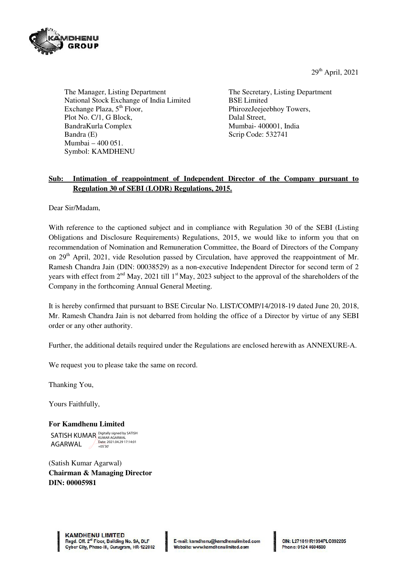29th April, 2021



The Manager, Listing Department National Stock Exchange of India Limited Exchange Plaza,  $5<sup>th</sup>$  Floor, Plot No. C/1, G Block, BandraKurla Complex Bandra (E) Mumbai – 400 051. Symbol: KAMDHENU

The Secretary, Listing Department BSE Limited PhirozeJeejeebhoy Towers, Dalal Street, Mumbai- 400001, India Scrip Code: 532741

# **Sub: Intimation of reappointment of Independent Director of the Company pursuant to Regulation 30 of SEBI (LODR) Regulations, 2015.**

Dear Sir/Madam,

With reference to the captioned subject and in compliance with Regulation 30 of the SEBI (Listing Obligations and Disclosure Requirements) Regulations, 2015, we would like to inform you that on recommendation of Nomination and Remuneration Committee, the Board of Directors of the Company on 29<sup>th</sup> April, 2021, vide Resolution passed by Circulation, have approved the reappointment of Mr. Ramesh Chandra Jain (DIN: 00038529) as a non-executive Independent Director for second term of 2 years with effect from  $2<sup>nd</sup>$  May, 2021 till  $1<sup>st</sup>$  May, 2023 subject to the approval of the shareholders of the Company in the forthcoming Annual General Meeting.

It is hereby confirmed that pursuant to BSE Circular No. LIST/COMP/14/2018-19 dated June 20, 2018, Mr. Ramesh Chandra Jain is not debarred from holding the office of a Director by virtue of any SEBI order or any other authority.

Further, the additional details required under the Regulations are enclosed herewith as ANNEXURE-A.

We request you to please take the same on record.

Thanking You,

Yours Faithfully,

**For Kamdhenu Limited**  SATISH KUMAR Digitally signed by SATISH AGARWAL Date: 2021.04.29 17:14:01 +05'30'

(Satish Kumar Agarwal) **Chairman & Managing Director DIN: 00005981**